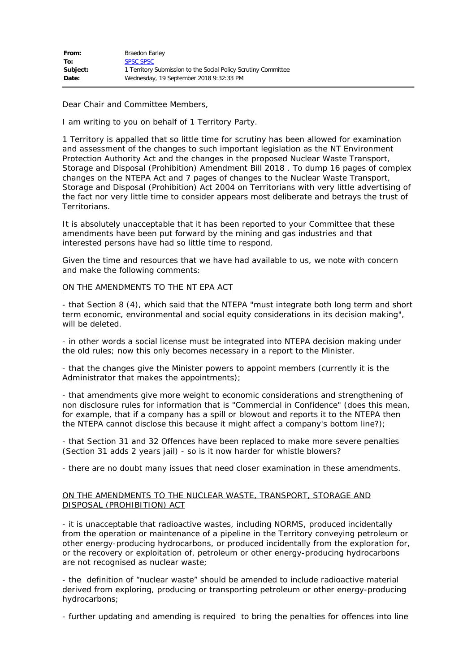Dear Chair and Committee Members,

I am writing to you on behalf of 1 Territory Party.

1 Territory is appalled that so little time for scrutiny has been allowed for examination and assessment of the changes to such important legislation as the NT Environment Protection Authority Act and the changes in the proposed Nuclear Waste Transport, Storage and Disposal (Prohibition) Amendment Bill 2018 . To dump 16 pages of complex changes on the NTEPA Act and 7 pages of changes to the Nuclear Waste Transport, Storage and Disposal (Prohibition) Act 2004 on Territorians with very little advertising of the fact nor very little time to consider appears most deliberate and betrays the trust of Territorians.

It is absolutely unacceptable that it has been reported to your Committee that these amendments have been put forward by the mining and gas industries and that interested persons have had so little time to respond.

Given the time and resources that we have had available to us, we note with concern and make the following comments:

## ON THE AMENDMENTS TO THE NT EPA ACT

- that Section 8 (4), which said that the NTEPA "must integrate both long term and short term economic, environmental and social equity considerations in its decision making", will be deleted.

- in other words a social license must be integrated into NTEPA decision making under the old rules; now this only becomes necessary in a report to the Minister.

- that the changes give the Minister powers to appoint members (currently it is the Administrator that makes the appointments);

- that amendments give more weight to economic considerations and strengthening of non disclosure rules for information that is "Commercial in Confidence" (does this mean, for example, that if a company has a spill or blowout and reports it to the NTEPA then the NTEPA cannot disclose this because it might affect a company's bottom line?);

- that Section 31 and 32 Offences have been replaced to make more severe penalties (Section 31 adds 2 years jail) - so is it now harder for whistle blowers?

- there are no doubt many issues that need closer examination in these amendments.

## ON THE AMENDMENTS TO THE NUCLEAR WASTE, TRANSPORT, STORAGE AND DISPOSAL (PROHIBITION) ACT

- it is unacceptable that radioactive wastes, including NORMS, produced incidentally from the operation or maintenance of a pipeline in the Territory conveying petroleum or other energy-producing hydrocarbons, or produced incidentally from the exploration for, or the recovery or exploitation of, petroleum or other energy-producing hydrocarbons are not recognised as nuclear waste;

- the definition of "nuclear waste" should be amended to include radioactive material derived from exploring, producing or transporting petroleum or other energy-producing hydrocarbons;

- further updating and amending is required to bring the penalties for offences into line